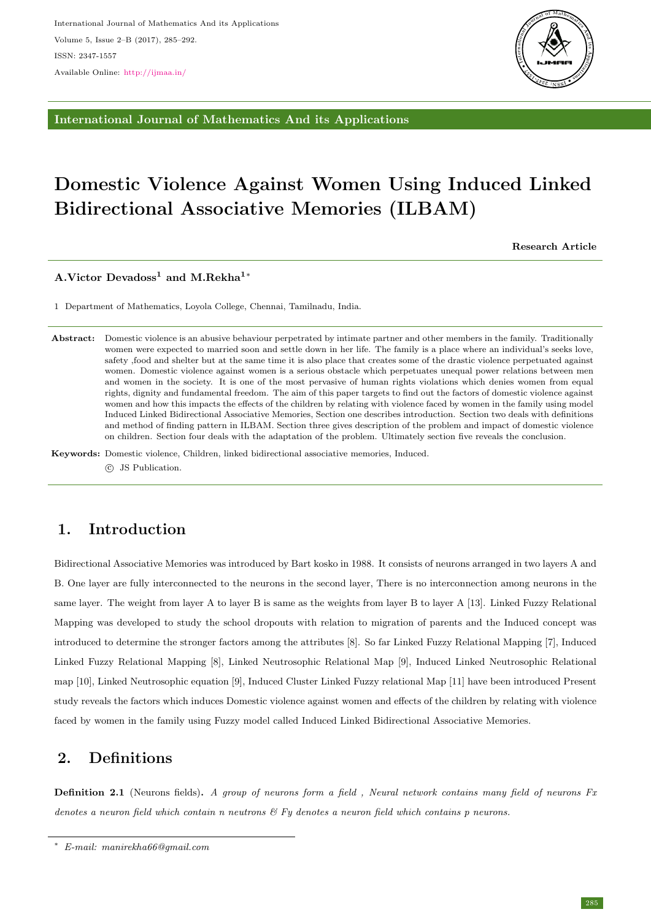

International Journal of Mathematics And its Applications

# Domestic Violence Against Women Using Induced Linked Bidirectional Associative Memories (ILBAM)

Research Article

A.Victor Devadoss<sup>1</sup> and M.Rekha<sup>1</sup><sup>∗</sup>

1 Department of Mathematics, Loyola College, Chennai, Tamilnadu, India.

Abstract: Domestic violence is an abusive behaviour perpetrated by intimate partner and other members in the family. Traditionally women were expected to married soon and settle down in her life. The family is a place where an individual's seeks love, safety ,food and shelter but at the same time it is also place that creates some of the drastic violence perpetuated against women. Domestic violence against women is a serious obstacle which perpetuates unequal power relations between men and women in the society. It is one of the most pervasive of human rights violations which denies women from equal rights, dignity and fundamental freedom. The aim of this paper targets to find out the factors of domestic violence against women and how this impacts the effects of the children by relating with violence faced by women in the family using model Induced Linked Bidirectional Associative Memories, Section one describes introduction. Section two deals with definitions and method of finding pattern in ILBAM. Section three gives description of the problem and impact of domestic violence on children. Section four deals with the adaptation of the problem. Ultimately section five reveals the conclusion.

Keywords: Domestic violence, Children, linked bidirectional associative memories, Induced.  $\circ$  JS Publication.

## 1. Introduction

Bidirectional Associative Memories was introduced by Bart kosko in 1988. It consists of neurons arranged in two layers A and B. One layer are fully interconnected to the neurons in the second layer, There is no interconnection among neurons in the same layer. The weight from layer A to layer B is same as the weights from layer B to layer A [13]. Linked Fuzzy Relational Mapping was developed to study the school dropouts with relation to migration of parents and the Induced concept was introduced to determine the stronger factors among the attributes [8]. So far Linked Fuzzy Relational Mapping [7], Induced Linked Fuzzy Relational Mapping [8], Linked Neutrosophic Relational Map [9], Induced Linked Neutrosophic Relational map [10], Linked Neutrosophic equation [9], Induced Cluster Linked Fuzzy relational Map [11] have been introduced Present study reveals the factors which induces Domestic violence against women and effects of the children by relating with violence faced by women in the family using Fuzzy model called Induced Linked Bidirectional Associative Memories.

## 2. Definitions

Definition 2.1 (Neurons fields). A group of neurons form a field, Neural network contains many field of neurons Fx denotes a neuron field which contain n neutrons  $\mathcal{C}$  Fy denotes a neuron field which contains p neurons.

<sup>∗</sup> E-mail: manirekha66@gmail.com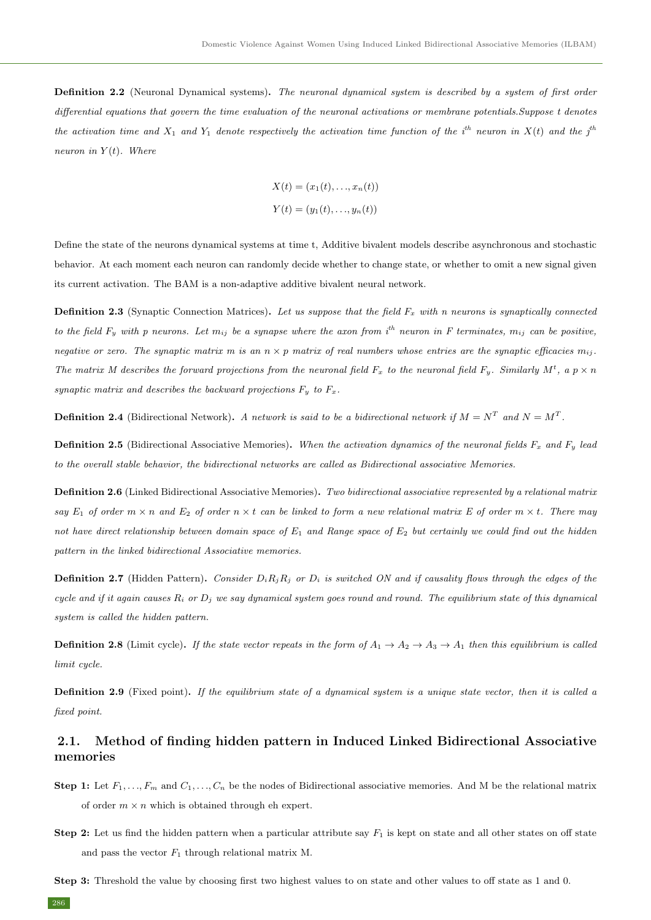Definition 2.2 (Neuronal Dynamical systems). The neuronal dynamical system is described by a system of first order differential equations that govern the time evaluation of the neuronal activations or membrane potentials.Suppose t denotes the activation time and  $X_1$  and  $Y_1$  denote respectively the activation time function of the i<sup>th</sup> neuron in  $X(t)$  and the j<sup>th</sup> neuron in  $Y(t)$ . Where

$$
X(t) = (x_1(t), \dots, x_n(t))
$$
  

$$
Y(t) = (y_1(t), \dots, y_n(t))
$$

Define the state of the neurons dynamical systems at time t, Additive bivalent models describe asynchronous and stochastic behavior. At each moment each neuron can randomly decide whether to change state, or whether to omit a new signal given its current activation. The BAM is a non-adaptive additive bivalent neural network.

**Definition 2.3** (Synaptic Connection Matrices). Let us suppose that the field  $F_x$  with n neurons is synaptically connected to the field  $F_u$  with p neurons. Let  $m_{ij}$  be a synapse where the axon from  $i^{th}$  neuron in F terminates,  $m_{ij}$  can be positive, negative or zero. The synaptic matrix m is an  $n \times p$  matrix of real numbers whose entries are the synaptic efficacies  $m_{ij}$ . The matrix M describes the forward projections from the neuronal field  $F_x$  to the neuronal field  $F_y$ . Similarly  $M^t$ , a  $p \times n$ synaptic matrix and describes the backward projections  $F_y$  to  $F_x$ .

**Definition 2.4** (Bidirectional Network). A network is said to be a bidirectional network if  $M = N^T$  and  $N = M^T$ .

**Definition 2.5** (Bidirectional Associative Memories). When the activation dynamics of the neuronal fields  $F_x$  and  $F_y$  lead to the overall stable behavior, the bidirectional networks are called as Bidirectional associative Memories.

Definition 2.6 (Linked Bidirectional Associative Memories). Two bidirectional associative represented by a relational matrix say  $E_1$  of order  $m \times n$  and  $E_2$  of order  $n \times t$  can be linked to form a new relational matrix E of order  $m \times t$ . There may not have direct relationship between domain space of  $E_1$  and Range space of  $E_2$  but certainly we could find out the hidden pattern in the linked bidirectional Associative memories.

**Definition 2.7** (Hidden Pattern). Consider  $D_iR_jR_j$  or  $D_i$  is switched ON and if causality flows through the edges of the cycle and if it again causes  $R_i$  or  $D_j$  we say dynamical system goes round and round. The equilibrium state of this dynamical system is called the hidden pattern.

**Definition 2.8** (Limit cycle). If the state vector repeats in the form of  $A_1 \rightarrow A_2 \rightarrow A_3 \rightarrow A_1$  then this equilibrium is called limit cycle.

Definition 2.9 (Fixed point). If the equilibrium state of a dynamical system is a unique state vector, then it is called a fixed point.

#### 2.1. Method of finding hidden pattern in Induced Linked Bidirectional Associative memories

- **Step 1:** Let  $F_1, \ldots, F_m$  and  $C_1, \ldots, C_n$  be the nodes of Bidirectional associative memories. And M be the relational matrix of order  $m \times n$  which is obtained through eh expert.
- **Step 2:** Let us find the hidden pattern when a particular attribute say  $F_1$  is kept on state and all other states on off state and pass the vector  $F_1$  through relational matrix M.
- Step 3: Threshold the value by choosing first two highest values to on state and other values to off state as 1 and 0.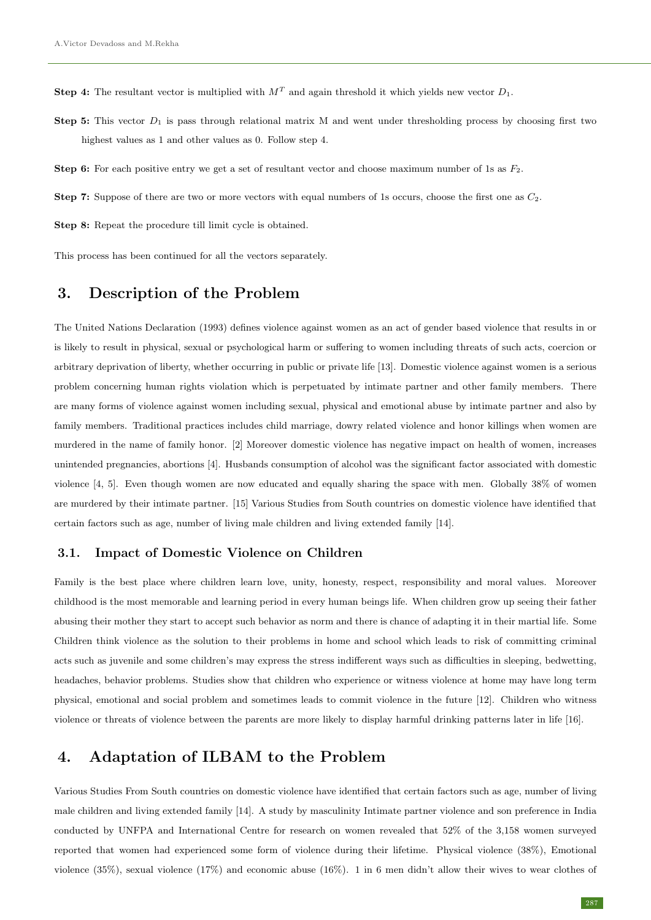**Step 4:** The resultant vector is multiplied with  $M<sup>T</sup>$  and again threshold it which yields new vector  $D_1$ .

- Step 5: This vector  $D_1$  is pass through relational matrix M and went under thresholding process by choosing first two highest values as 1 and other values as 0. Follow step 4.
- **Step 6:** For each positive entry we get a set of resultant vector and choose maximum number of 1s as  $F_2$ .
- **Step 7:** Suppose of there are two or more vectors with equal numbers of 1s occurs, choose the first one as  $C_2$ .

Step 8: Repeat the procedure till limit cycle is obtained.

This process has been continued for all the vectors separately.

## 3. Description of the Problem

The United Nations Declaration (1993) defines violence against women as an act of gender based violence that results in or is likely to result in physical, sexual or psychological harm or suffering to women including threats of such acts, coercion or arbitrary deprivation of liberty, whether occurring in public or private life [13]. Domestic violence against women is a serious problem concerning human rights violation which is perpetuated by intimate partner and other family members. There are many forms of violence against women including sexual, physical and emotional abuse by intimate partner and also by family members. Traditional practices includes child marriage, dowry related violence and honor killings when women are murdered in the name of family honor. [2] Moreover domestic violence has negative impact on health of women, increases unintended pregnancies, abortions [4]. Husbands consumption of alcohol was the significant factor associated with domestic violence [4, 5]. Even though women are now educated and equally sharing the space with men. Globally 38% of women are murdered by their intimate partner. [15] Various Studies from South countries on domestic violence have identified that certain factors such as age, number of living male children and living extended family [14].

#### 3.1. Impact of Domestic Violence on Children

Family is the best place where children learn love, unity, honesty, respect, responsibility and moral values. Moreover childhood is the most memorable and learning period in every human beings life. When children grow up seeing their father abusing their mother they start to accept such behavior as norm and there is chance of adapting it in their martial life. Some Children think violence as the solution to their problems in home and school which leads to risk of committing criminal acts such as juvenile and some children's may express the stress indifferent ways such as difficulties in sleeping, bedwetting, headaches, behavior problems. Studies show that children who experience or witness violence at home may have long term physical, emotional and social problem and sometimes leads to commit violence in the future [12]. Children who witness violence or threats of violence between the parents are more likely to display harmful drinking patterns later in life [16].

### 4. Adaptation of ILBAM to the Problem

Various Studies From South countries on domestic violence have identified that certain factors such as age, number of living male children and living extended family [14]. A study by masculinity Intimate partner violence and son preference in India conducted by UNFPA and International Centre for research on women revealed that 52% of the 3,158 women surveyed reported that women had experienced some form of violence during their lifetime. Physical violence (38%), Emotional violence (35%), sexual violence (17%) and economic abuse (16%). 1 in 6 men didn't allow their wives to wear clothes of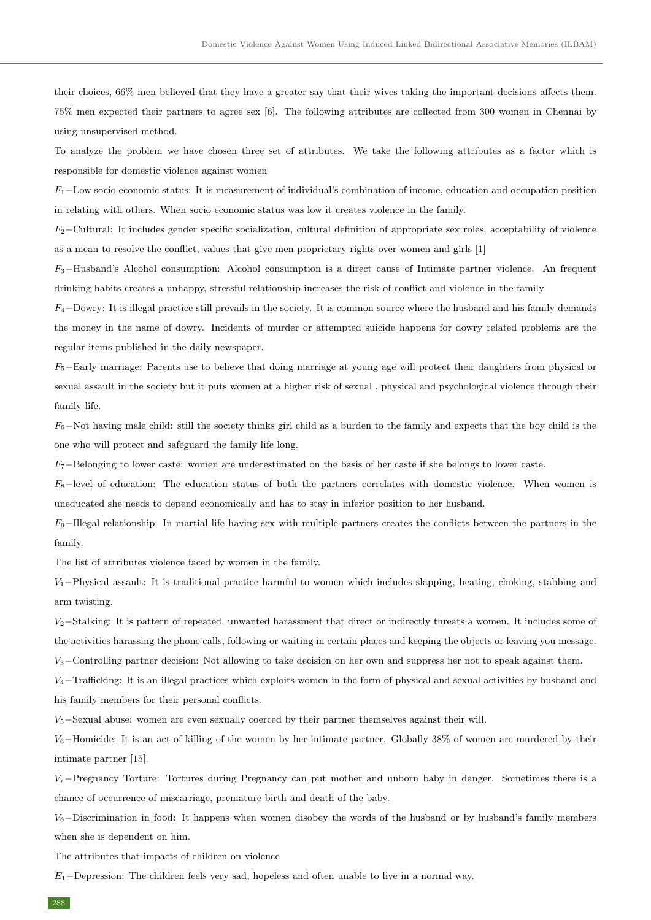their choices, 66% men believed that they have a greater say that their wives taking the important decisions affects them. 75% men expected their partners to agree sex [6]. The following attributes are collected from 300 women in Chennai by using unsupervised method.

To analyze the problem we have chosen three set of attributes. We take the following attributes as a factor which is responsible for domestic violence against women

 $F_1$  – Low socio economic status: It is measurement of individual's combination of income, education and occupation position in relating with others. When socio economic status was low it creates violence in the family.

 $F_2$ −Cultural: It includes gender specific socialization, cultural definition of appropriate sex roles, acceptability of violence as a mean to resolve the conflict, values that give men proprietary rights over women and girls [1]

 $F_3$ –Husband's Alcohol consumption: Alcohol consumption is a direct cause of Intimate partner violence. An frequent drinking habits creates a unhappy, stressful relationship increases the risk of conflict and violence in the family

 $F_4$ –Dowry: It is illegal practice still prevails in the society. It is common source where the husband and his family demands the money in the name of dowry. Incidents of murder or attempted suicide happens for dowry related problems are the regular items published in the daily newspaper.

 $F_5$ –Early marriage: Parents use to believe that doing marriage at young age will protect their daughters from physical or sexual assault in the society but it puts women at a higher risk of sexual , physical and psychological violence through their family life.

 $F_6$ –Not having male child: still the society thinks girl child as a burden to the family and expects that the boy child is the one who will protect and safeguard the family life long.

 $F_7$ –Belonging to lower caste: women are underestimated on the basis of her caste if she belongs to lower caste.

 $F_8$ -level of education: The education status of both the partners correlates with domestic violence. When women is uneducated she needs to depend economically and has to stay in inferior position to her husband.

 $F_9$ –Illegal relationship: In martial life having sex with multiple partners creates the conflicts between the partners in the family.

The list of attributes violence faced by women in the family.

 $V_1$ –Physical assault: It is traditional practice harmful to women which includes slapping, beating, choking, stabbing and arm twisting.

 $V_2$ –Stalking: It is pattern of repeated, unwanted harassment that direct or indirectly threats a women. It includes some of the activities harassing the phone calls, following or waiting in certain places and keeping the objects or leaving you message.

V3−Controlling partner decision: Not allowing to take decision on her own and suppress her not to speak against them.

 $V_4$ −Trafficking: It is an illegal practices which exploits women in the form of physical and sexual activities by husband and his family members for their personal conflicts.

 $V_5$ –Sexual abuse: women are even sexually coerced by their partner themselves against their will.

 $V_6$ –Homicide: It is an act of killing of the women by her intimate partner. Globally 38% of women are murdered by their intimate partner [15].

 $V_7$ –Pregnancy Torture: Tortures during Pregnancy can put mother and unborn baby in danger. Sometimes there is a chance of occurrence of miscarriage, premature birth and death of the baby.

 $V_8$ –Discrimination in food: It happens when women disobey the words of the husband or by husband's family members when she is dependent on him.

The attributes that impacts of children on violence

 $E_1$ –Depression: The children feels very sad, hopeless and often unable to live in a normal way.

288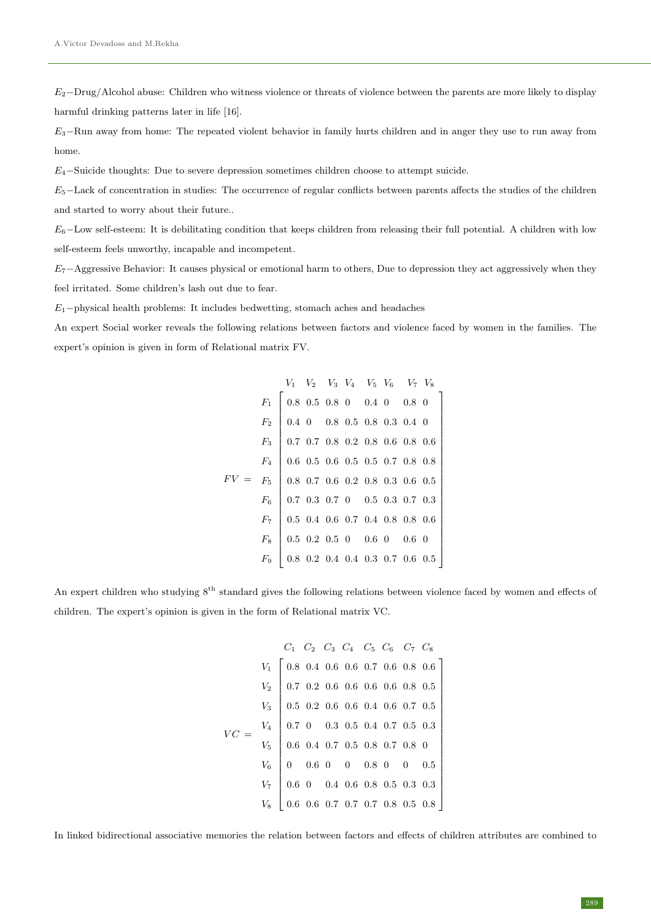$E_2$ −Drug/Alcohol abuse: Children who witness violence or threats of violence between the parents are more likely to display harmful drinking patterns later in life [16].

 $E_3$ –Run away from home: The repeated violent behavior in family hurts children and in anger they use to run away from home.

 $E_4$ –Suicide thoughts: Due to severe depression sometimes children choose to attempt suicide.

 $E_5$ –Lack of concentration in studies: The occurrence of regular conflicts between parents affects the studies of the children and started to worry about their future..

 $E_6$ –Low self-esteem: It is debilitating condition that keeps children from releasing their full potential. A children with low self-esteem feels unworthy, incapable and incompetent.

 $E_7$ −Aggressive Behavior: It causes physical or emotional harm to others, Due to depression they act aggressively when they feel irritated. Some children's lash out due to fear.

 $E_1$  –physical health problems: It includes bedwetting, stomach aches and headaches

An expert Social worker reveals the following relations between factors and violence faced by women in the families. The expert's opinion is given in form of Relational matrix FV.

$$
F_1 \begin{bmatrix} V_1 & V_2 & V_3 & V_4 & V_5 & V_6 & V_7 & V_8 \ 0.8 & 0.5 & 0.8 & 0 & 0.4 & 0 & 0.8 & 0 \ 0.4 & 0 & 0.8 & 0.5 & 0.8 & 0.3 & 0.4 & 0 \ 0.7 & 0.7 & 0.8 & 0.2 & 0.8 & 0.6 & 0.8 & 0.6 \ F_4 \end{bmatrix}
$$

$$
F_5 = F_5
$$

$$
F_6 = F_6
$$

$$
F_7 = F_7
$$

$$
F_8 = \begin{bmatrix} 0.8 & 0.7 & 0.6 & 0.2 & 0.8 & 0.3 & 0.6 & 0.5 \ 0.8 & 0.7 & 0.6 & 0.2 & 0.8 & 0.3 & 0.6 & 0.5 \ 0.7 & 0.4 & 0.8 & 0.8 & 0.8 & 0.6 \ 0.5 & 0.2 & 0.5 & 0 & 0.6 & 0 & 0.6 & 0 \ 0.8 & 0.2 & 0.4 & 0.4 & 0.3 & 0.7 & 0.6 & 0.5 \end{bmatrix}
$$

An expert children who studying  $8^{th}$  standard gives the following relations between violence faced by women and effects of children. The expert's opinion is given in the form of Relational matrix VC.

$$
VC = \begin{bmatrix} V_1 & C_2 & C_3 & C_4 & C_5 & C_6 & C_7 & C_8 \\ V_1 & 0.8 & 0.4 & 0.6 & 0.6 & 0.7 & 0.6 & 0.8 & 0.6 \\ V_2 & 0.7 & 0.2 & 0.6 & 0.6 & 0.6 & 0.6 & 0.8 & 0.5 \\ V_3 & 0.5 & 0.2 & 0.6 & 0.6 & 0.4 & 0.6 & 0.7 & 0.5 \\ V_4 & 0.7 & 0 & 0.3 & 0.5 & 0.4 & 0.7 & 0.5 & 0.3 \\ V_5 & 0.6 & 0.4 & 0.7 & 0.5 & 0.8 & 0.7 & 0.8 & 0 \\ 0 & 0.6 & 0 & 0 & 0.8 & 0 & 0 & 0.5 \\ V_6 & 0.6 & 0.4 & 0.6 & 0.8 & 0.5 & 0.3 & 0.3 \\ 0.6 & 0.6 & 0.7 & 0.7 & 0.7 & 0.8 & 0.5 & 0.8 \end{bmatrix}
$$

In linked bidirectional associative memories the relation between factors and effects of children attributes are combined to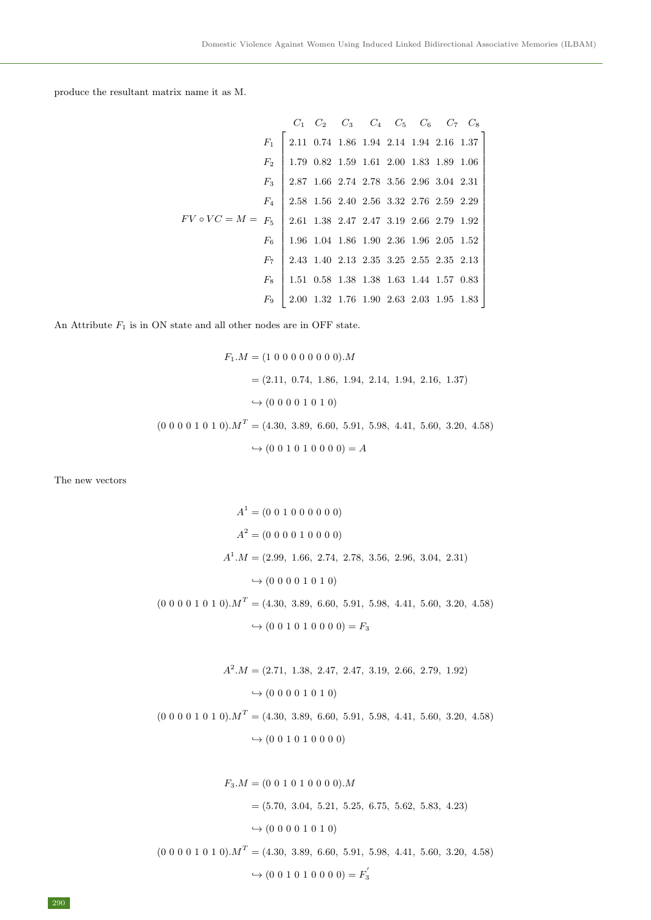produce the resultant matrix name it as M.

| $C_1$ | $C_2$                                                                                                                                                                                                                                                                                                                                                                                                                                                                                                                                                                   | $C_3$ | $C_4$ | $C_5$ | $C_6$ | $C_7$ | $C_8$ |
|-------|-------------------------------------------------------------------------------------------------------------------------------------------------------------------------------------------------------------------------------------------------------------------------------------------------------------------------------------------------------------------------------------------------------------------------------------------------------------------------------------------------------------------------------------------------------------------------|-------|-------|-------|-------|-------|-------|
| $F_1$ | \n $\begin{bmatrix}\n 2.11 & 0.74 & 1.86 & 1.94 & 2.14 & 1.94 & 2.16 & 1.37 \\ 1.79 & 0.82 & 1.59 & 1.61 & 2.00 & 1.83 & 1.89 & 1.06 \\ 2.87 & 1.66 & 2.74 & 2.78 & 3.56 & 2.96 & 3.04 & 2.31 \\ 2.58 & 1.56 & 2.40 & 2.56 & 3.32 & 2.76 & 2.59 & 2.29 \\ 2.61 & 1.38 & 2.47 & 2.47 & 3.19 & 2.66 & 2.79 & 1.92 \\ 1.96 & 1.04 & 1.86 & 1.90 & 2.36 & 1.96 & 2.05 & 1.52 \\ 2.43 & 1.40 & 2.13 & 2.35 & 3.25 & 2.55 & 2.35 & 2.13 \\ 1.51 & 0.58 & 1.38 & 1.38 & 1.63 & 1.44 & 1.57 & 0.83 \\ 2.00 & 1.32 & 1.76 & 1.90 & 2.63 & 2.03 & 1.95 & 1.83\n \end{bmatrix}$ \n |       |       |       |       |       |       |

An Attribute  $F_1$  is in ON state and all other nodes are in OFF state.

$$
F_1.M = (1\ 0\ 0\ 0\ 0\ 0\ 0\ 0\ 0).M
$$
  
= (2.11, 0.74, 1.86, 1.94, 2.14, 1.94, 2.16, 1.37)  

$$
\hookrightarrow (0\ 0\ 0\ 0\ 1\ 0\ 1\ 0)
$$
  
(0\ 0\ 0\ 0\ 1\ 0\ 1\ 0).M<sup>T</sup> = (4.30, 3.89, 6.60, 5.91, 5.98, 4.41, 5.60, 3.20, 4.58)  

$$
\hookrightarrow (0\ 0\ 1\ 0\ 1\ 0\ 0\ 0\ 0) = A
$$

The new vectors

$$
A^{1} = (0\ 0\ 1\ 0\ 0\ 0\ 0\ 0)
$$

$$
A^{2} = (0\ 0\ 0\ 0\ 1\ 0\ 0\ 0\ 0)
$$

$$
A^{1}.M = (2.99, 1.66, 2.74, 2.78, 3.56, 2.96, 3.04, 2.31)
$$

$$
\rightarrow (0\ 0\ 0\ 0\ 1\ 0\ 1\ 0)
$$

$$
(0\ 0\ 0\ 0\ 1\ 0\ 1\ 0).M^{T} = (4.30, 3.89, 6.60, 5.91, 5.98, 4.41, 5.60, 3.20, 4.58)
$$

 $\hookrightarrow$  (0 0 1 0 1 0 0 0 0) =  $F_3$ 

$$
A^2.M = (2.71, 1.38, 2.47, 2.47, 3.19, 2.66, 2.79, 1.92)
$$
  
\n
$$
\rightarrow (0\ 0\ 0\ 0\ 1\ 0\ 1\ 0)
$$
  
\n
$$
(0\ 0\ 0\ 0\ 1\ 0\ 1\ 0).M^T = (4.30, 3.89, 6.60, 5.91, 5.98, 4.41, 5.60, 3.20, 4.58)
$$
  
\n
$$
\rightarrow (0\ 0\ 1\ 0\ 1\ 0\ 0\ 0\ 0)
$$

$$
F_3.M = (0\ 0\ 1\ 0\ 1\ 0\ 0\ 0\ 0).M
$$
  
= (5.70, 3.04, 5.21, 5.25, 6.75, 5.62, 5.83, 4.23)  

$$
\rightarrow (0\ 0\ 0\ 0\ 1\ 0\ 1\ 0)
$$
  

$$
(0\ 0\ 0\ 0\ 1\ 0\ 1\ 0).M^T = (4.30, 3.89, 6.60, 5.91, 5.98, 4.41, 5.60, 3.20, 4.58)
$$
  

$$
\rightarrow (0\ 0\ 1\ 0\ 1\ 0\ 0\ 0\ 0) = F_3'
$$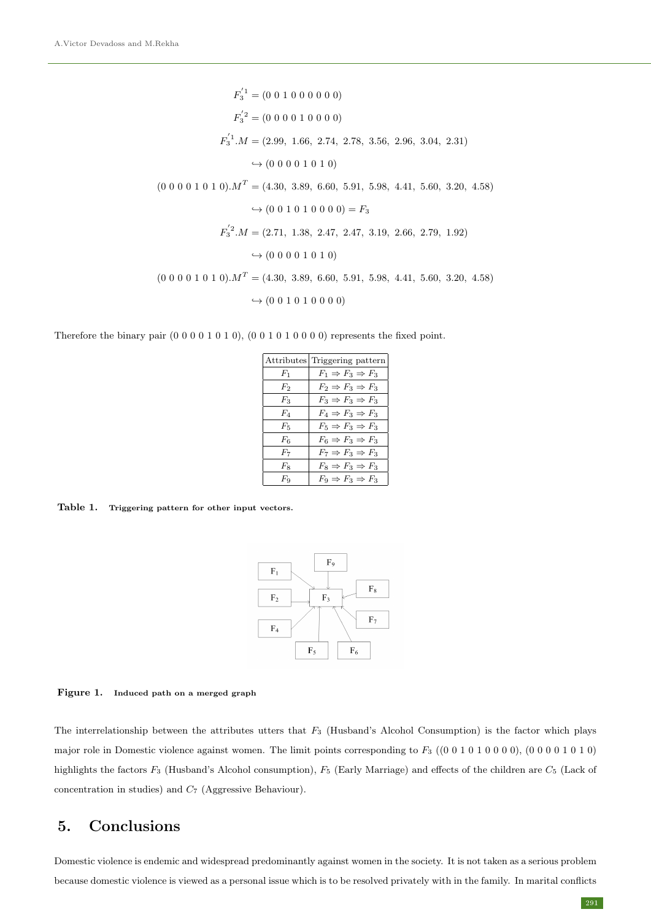$F_3^{1} = (0\; 0\; 1\; 0\; 0\; 0\; 0\; 0)$  $F_3^{'2} = (0\;0\;0\;0\;1\;0\;0\;0\;0)$  $F_3^{'1}.M = (2.99, 1.66, 2.74, 2.78, 3.56, 2.96, 3.04, 2.31)$  $\leftrightarrow$  (0 0 0 0 1 0 1 0)  $(0\ 0\ 0\ 0\ 1\ 0\ 1\ 0)$ . $M<sup>T</sup> = (4.30, 3.89, 6.60, 5.91, 5.98, 4.41, 5.60, 3.20, 4.58)$  $\leftrightarrow$  (0 0 1 0 1 0 0 0 0) =  $F_3$  $F_3^{'2}.M = (2.71, 1.38, 2.47, 2.47, 3.19, 2.66, 2.79, 1.92)$  $\leftrightarrow$  (0 0 0 0 1 0 1 0)  $(0\ 0\ 0\ 0\ 1\ 0\ 1\ 0)$ . $M<sup>T</sup> = (4.30, 3.89, 6.60, 5.91, 5.98, 4.41, 5.60, 3.20, 4.58)$  $\leftrightarrow$  (0 0 1 0 1 0 0 0 0)

Therefore the binary pair  $(0 0 0 0 1 0 1 0)$ ,  $(0 0 1 0 1 0 0 0 0)$  represents the fixed point.

|         | Attributes Triggering pattern         |
|---------|---------------------------------------|
| $F_1$   | $F_1 \Rightarrow F_3 \Rightarrow F_3$ |
| F2      | $F_2 \Rightarrow F_3 \Rightarrow F_3$ |
| $F_3$   | $F_3 \Rightarrow F_3 \Rightarrow F_3$ |
| $F_4$   | $F_4 \Rightarrow F_3 \Rightarrow F_3$ |
| $F_{5}$ | $F_5 \Rightarrow F_3 \Rightarrow F_3$ |
| $F_6$   | $F_6 \Rightarrow F_3 \Rightarrow F_3$ |
| $F_7$   | $F_7 \Rightarrow F_3 \Rightarrow F_3$ |
| $F_8$   | $F_8 \Rightarrow F_3 \Rightarrow F_3$ |
| $F_{9}$ | $F_9 \Rightarrow F_3 \Rightarrow F_3$ |

Table 1. Triggering pattern for other input vectors.



Figure 1. Induced path on a merged graph

The interrelationship between the attributes utters that  $F_3$  (Husband's Alcohol Consumption) is the factor which plays major role in Domestic violence against women. The limit points corresponding to  $F_3$  ((0 0 1 0 1 0 0 0 0), (0 0 0 0 1 0 1 0) highlights the factors  $F_3$  (Husband's Alcohol consumption),  $F_5$  (Early Marriage) and effects of the children are  $C_5$  (Lack of concentration in studies) and  $C_7$  (Aggressive Behaviour).

## 5. Conclusions

Domestic violence is endemic and widespread predominantly against women in the society. It is not taken as a serious problem because domestic violence is viewed as a personal issue which is to be resolved privately with in the family. In marital conflicts